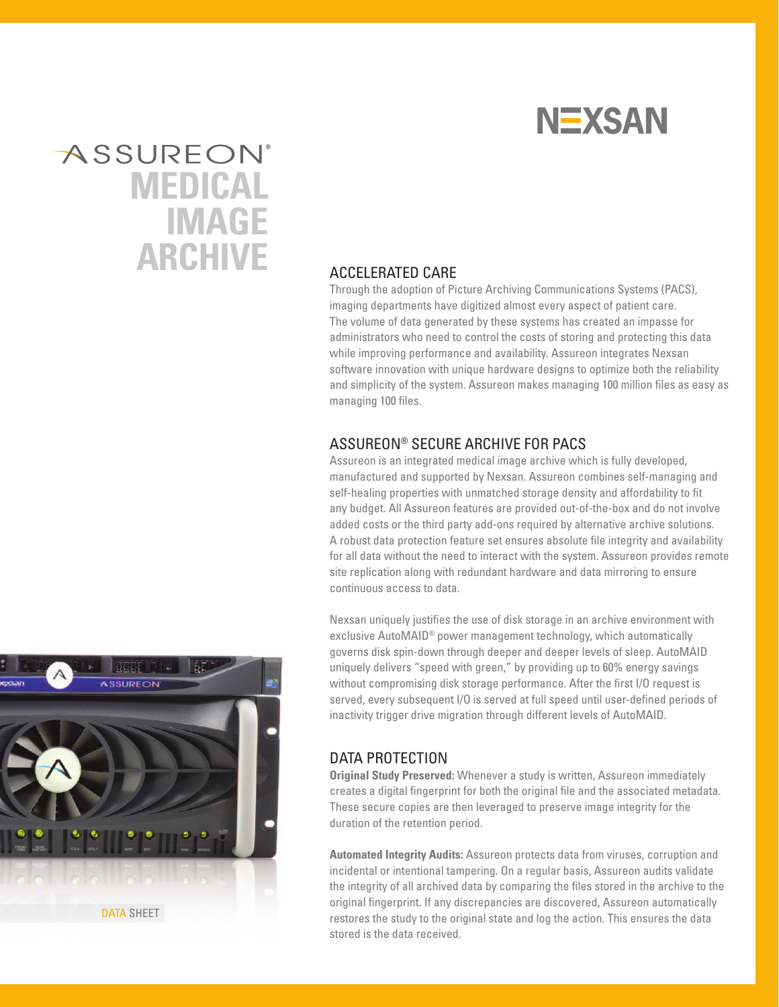

# **ASSUREON® MEDICAL IMAGE ARCHIVE** ACCELERATED CARE

Through the adoption of Picture Archiving Communications Systems (PACS), imaging departments have digitized almost every aspect of patient care. The volume of data generated by these systems has created an impasse for administrators who need to control the costs of storing and protecting this data while improving performance and availability. Assureon integrates Nexsan software innovation with unique hardware designs to optimize both the reliability and simplicity of the system. Assureon makes managing 100 million files as easy as managing 100 files.

# ASSUREON® SECURE ARCHIVE FOR PACS

Assureon is an integrated medical image archive which is fully developed, manufactured and supported by Nexsan. Assureon combines self-managing and self-healing properties with unmatched storage density and affordability to fit any budget. All Assureon features are provided out-of-the-box and do not involve added costs or the third party add-ons required by alternative archive solutions. A robust data protection feature set ensures absolute file integrity and availability for all data without the need to interact with the system. Assureon provides remote site replication along with redundant hardware and data mirroring to ensure continuous access to data.

Nexsan uniquely justifies the use of disk storage in an archive environment with exclusive AutoMAID® power management technology, which automatically governs disk spin-down through deeper and deeper levels of sleep. AutoMAID uniquely delivers "speed with green," by providing up to 60% energy savings without compromising disk storage performance. After the first I/O request is served, every subsequent I/O is served at full speed until user-defined periods of inactivity trigger drive migration through different levels of AutoMAID.

# DATA PROTECTION

**Original Study Preserved:** Whenever a study is written, Assureon immediately creates a digital fingerprint for both the original file and the associated metadata. These secure copies are then leveraged to preserve image integrity for the duration of the retention period.

**Automated Integrity Audits:** Assureon protects data from viruses, corruption and incidental or intentional tampering. On a regular basis, Assureon audits validate the integrity of all archived data by comparing the files stored in the archive to the original fingerprint. If any discrepancies are discovered, Assureon automatically restores the study to the original state and log the action. This ensures the data stored is the data received.